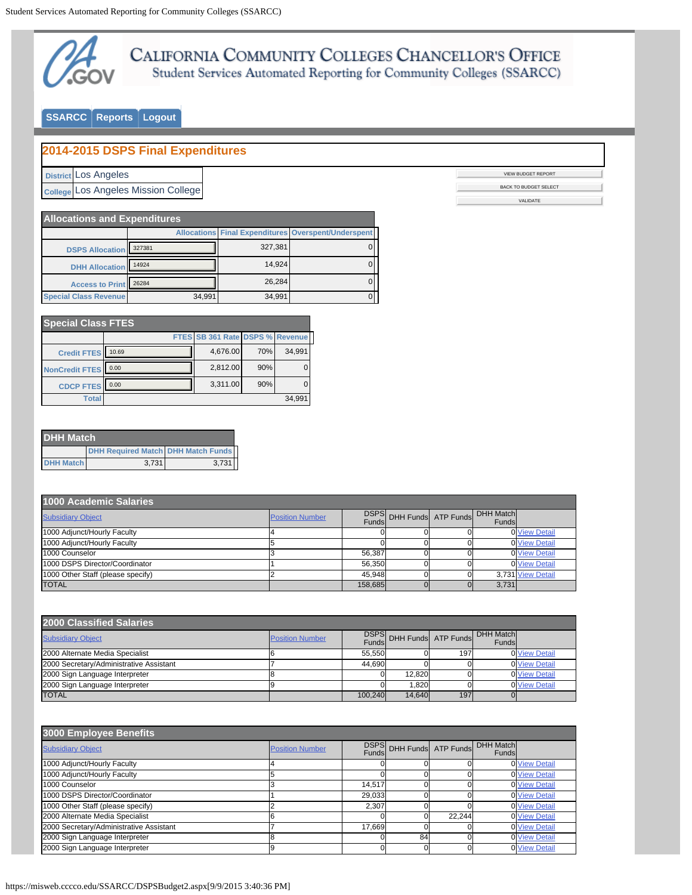